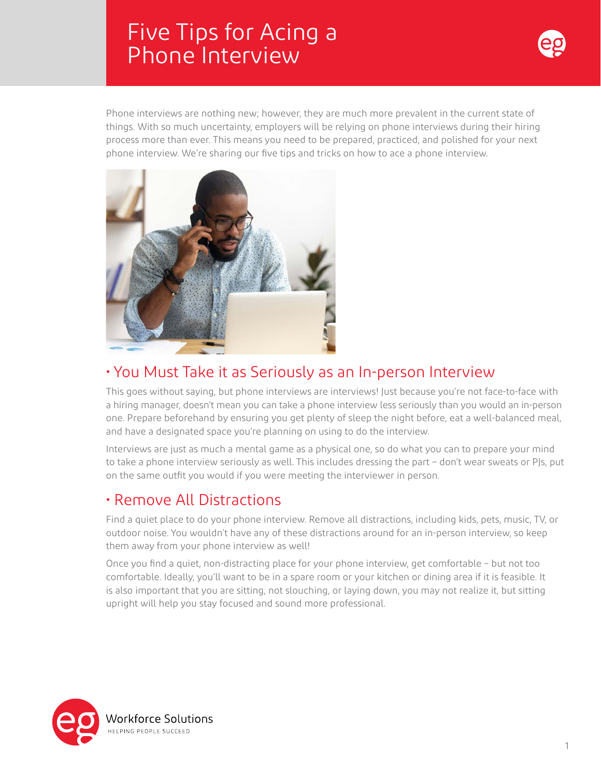# Five Tips for Acing a Phone Interview



Phone interviews are nothing new; however, they are much more prevalent in the current state of things. With so much uncertainty, employers will be relying on phone interviews during their hiring process more than ever. This means you need to be prepared, practiced, and polished for your next phone interview. We're sharing our five tips and tricks on how to ace a phone interview.



# • You Must Take it as Seriously as an In-person Interview

This goes without saying, but phone interviews are interviews! Just because you're not face-to-face with a hiring manager, doesn't mean you can take a phone interview less seriously than you would an in-person one. Prepare beforehand by ensuring you get plenty of sleep the night before, eat a well-balanced meal, and have a designated space you're planning on using to do the interview.

Interviews are just as much a mental game as a physical one, so do what you can to prepare your mind to take a phone interview seriously as well. This includes dressing the part – don't wear sweats or PJs, put on the same outfit you would if you were meeting the interviewer in person.

#### • Remove All Distractions

Find a quiet place to do your phone interview. Remove all distractions, including kids, pets, music, TV, or outdoor noise. You wouldn't have any of these distractions around for an in-person interview, so keep them away from your phone interview as well!

Once you find a quiet, non-distracting place for your phone interview, get comfortable – but not too comfortable. Ideally, you'll want to be in a spare room or your kitchen or dining area if it is feasible. It is also important that you are sitting, not slouching, or laying down, you may not realize it, but sitting upright will help you stay focused and sound more professional.